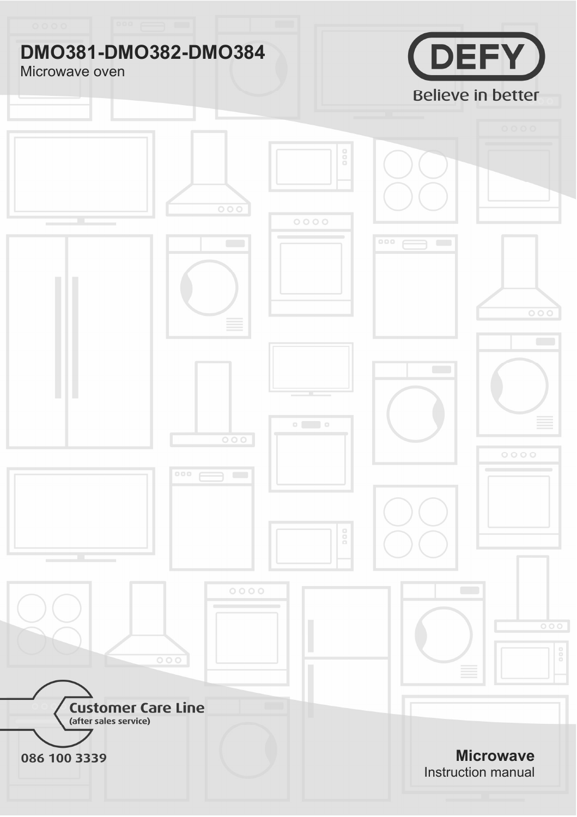# **DMO381-DMO382-DMO384**

## Microwave oven



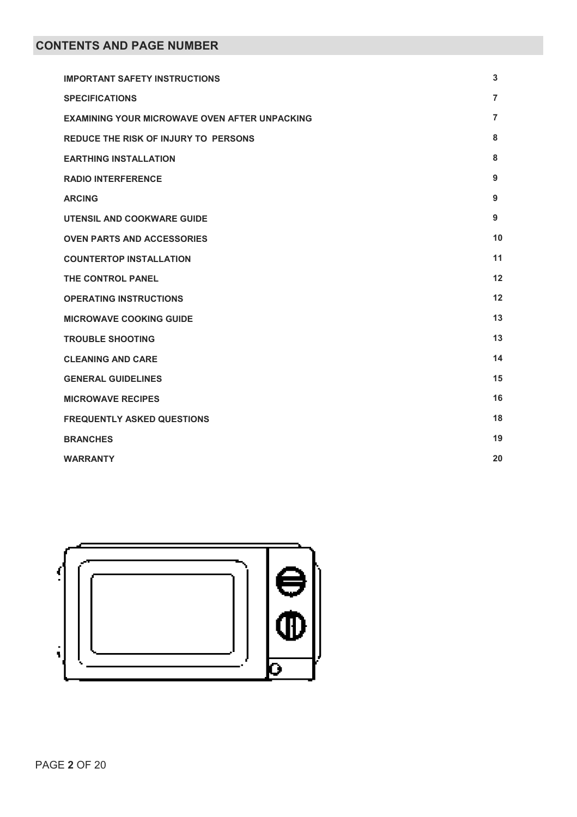| <b>IMPORTANT SAFETY INSTRUCTIONS</b>                 | 3              |
|------------------------------------------------------|----------------|
| <b>SPECIFICATIONS</b>                                | 7              |
| <b>EXAMINING YOUR MICROWAVE OVEN AFTER UNPACKING</b> | $\overline{7}$ |
| REDUCE THE RISK OF INJURY TO PERSONS                 | 8              |
| <b>EARTHING INSTALLATION</b>                         | 8              |
| <b>RADIO INTERFERENCE</b>                            | 9              |
| <b>ARCING</b>                                        | 9              |
| UTENSIL AND COOKWARE GUIDE                           | 9              |
| <b>OVEN PARTS AND ACCESSORIES</b>                    | 10             |
| <b>COUNTERTOP INSTALLATION</b>                       | 11             |
| THE CONTROL PANEL                                    | 12             |
| <b>OPERATING INSTRUCTIONS</b>                        | 12             |
| <b>MICROWAVE COOKING GUIDE</b>                       | 13             |
| <b>TROUBLE SHOOTING</b>                              | 13             |
| <b>CLEANING AND CARE</b>                             | 14             |
| <b>GENERAL GUIDELINES</b>                            | 15             |
| <b>MICROWAVE RECIPES</b>                             | 16             |
| <b>FREQUENTLY ASKED QUESTIONS</b>                    | 18             |
| <b>BRANCHES</b>                                      | 19             |
| <b>WARRANTY</b>                                      | 20             |

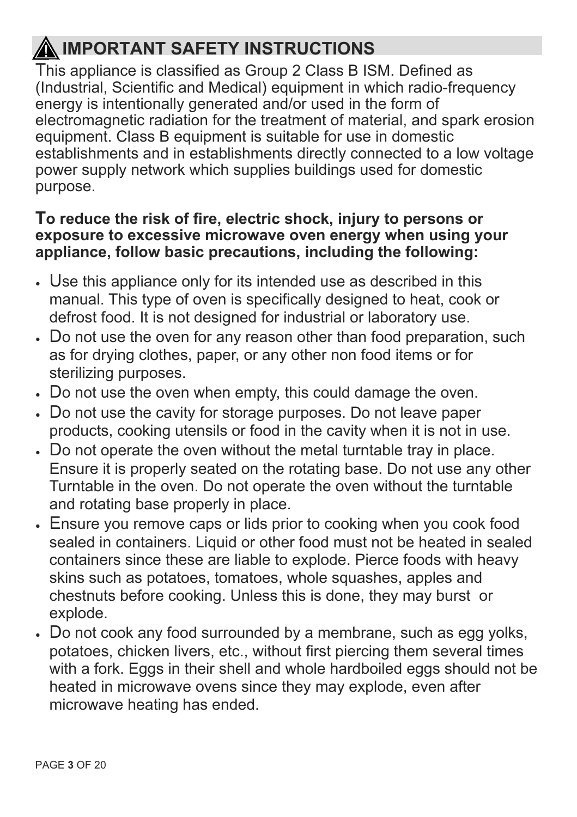# **IMPORTANT SAFETY INSTRUCTIONS**

This appliance is classified as Group 2 Class B ISM. Defined as (Industrial, Scientific and Medical) equipment in which radio-frequency energy is intentionally generated and/or used in the form of electromagnetic radiation for the treatment of material, and spark erosion equipment. Class B equipment is suitable for use in domestic establishments and in establishments directly connected to a low voltage power supply network which supplies buildings used for domestic purpose.

## **To reduce the risk of fire, electric shock, injury to persons or exposure to excessive microwave oven energy when using your appliance, follow basic precautions, including the following:**

- $\cdot$  Use this appliance only for its intended use as described in this manual. This type of oven is specifically designed to heat, cook or defrost food. It is not designed for industrial or laboratory use.
- Do not use the oven for any reason other than food preparation, such as for drying clothes, paper, or any other non food items or for sterilizing purposes.
- Do not use the oven when empty, this could damage the oven.
- Do not use the cavity for storage purposes. Do not leave paper products, cooking utensils or food in the cavity when it is not in use.
- Do not operate the oven without the metal turntable tray in place. Ensure it is properly seated on the rotating base. Do not use any other Turntable in the oven. Do not operate the oven without the turntable and rotating base properly in place.
- $\cdot$  Ensure you remove caps or lids prior to cooking when you cook food sealed in containers. Liquid or other food must not be heated in sealed containers since these are liable to explode. Pierce foods with heavy skins such as potatoes, tomatoes, whole squashes, apples and chestnuts before cooking. Unless this is done, they may burst or explode.
- Do not cook any food surrounded by a membrane, such as egg yolks, potatoes, chicken livers, etc., without first piercing them several times with a fork. Eggs in their shell and whole hardboiled eggs should not be heated in microwave ovens since they may explode, even after microwave heating has ended.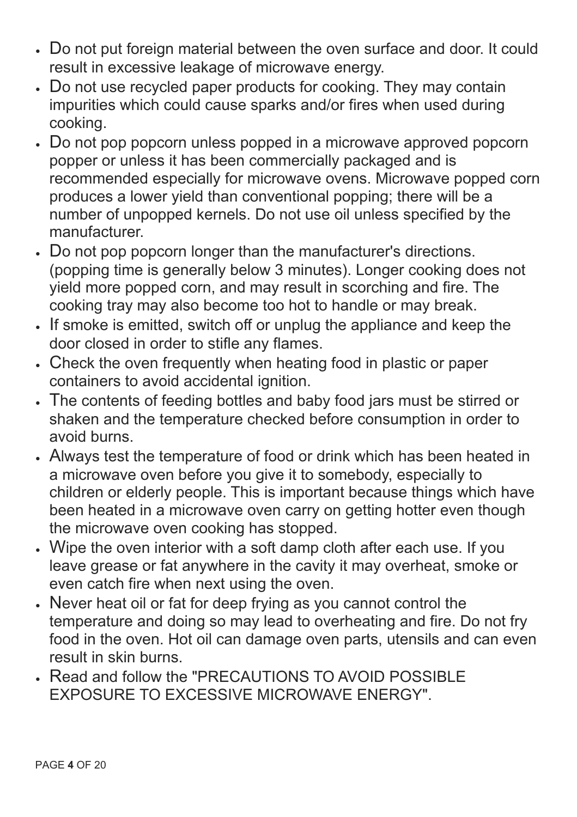- x Do not put foreign material between the oven surface and door. It could result in excessive leakage of microwave energy.
- Do not use recycled paper products for cooking. They may contain impurities which could cause sparks and/or fires when used during cooking.
- Do not pop popcorn unless popped in a microwave approved popcorn popper or unless it has been commercially packaged and is recommended especially for microwave ovens. Microwave popped corn produces a lower yield than conventional popping; there will be a number of unpopped kernels. Do not use oil unless specified by the manufacturer.
- Do not pop popcorn longer than the manufacturer's directions. (popping time is generally below 3 minutes). Longer cooking does not yield more popped corn, and may result in scorching and fire. The cooking tray may also become too hot to handle or may break.
- If smoke is emitted, switch off or unplug the appliance and keep the door closed in order to stifle any flames.
- Check the oven frequently when heating food in plastic or paper containers to avoid accidental ignition.
- The contents of feeding bottles and baby food jars must be stirred or shaken and the temperature checked before consumption in order to avoid burns.
- x Always test the temperature of food or drink which has been heated in a microwave oven before you give it to somebody, especially to children or elderly people. This is important because things which have been heated in a microwave oven carry on getting hotter even though the microwave oven cooking has stopped.
- Wipe the oven interior with a soft damp cloth after each use. If you leave grease or fat anywhere in the cavity it may overheat, smoke or even catch fire when next using the oven.
- x Never heat oil or fat for deep frying as you cannot control the temperature and doing so may lead to overheating and fire. Do not fry food in the oven. Hot oil can damage oven parts, utensils and can even result in skin burns.
- x Read and follow the "PRECAUTIONS TO AVOID POSSIBLE EXPOSURE TO EXCESSIVE MICROWAVE ENERGY".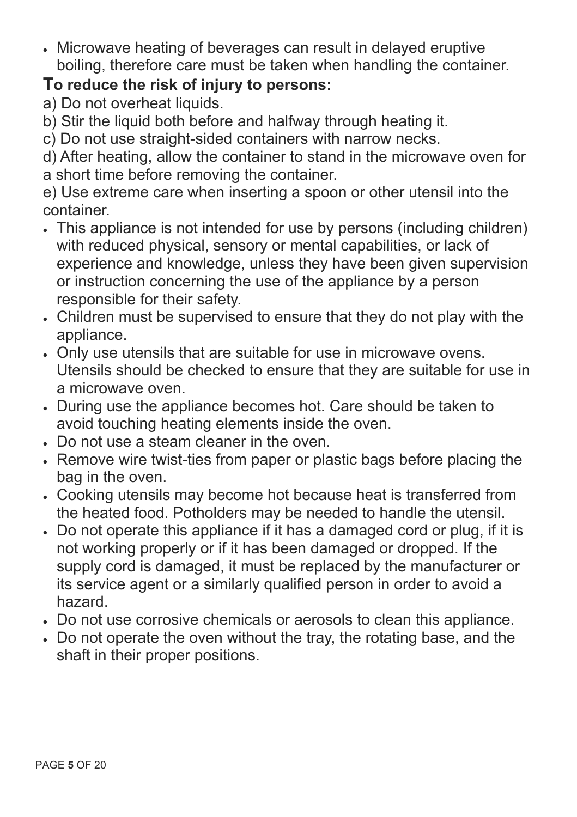$\cdot$  Microwave heating of beverages can result in delayed eruptive boiling, therefore care must be taken when handling the container.

## **To reduce the risk of injury to persons:**

- a) Do not overheat liquids.
- b) Stir the liquid both before and halfway through heating it.

c) Do not use straight-sided containers with narrow necks.

d) After heating, allow the container to stand in the microwave oven for a short time before removing the container.

e) Use extreme care when inserting a spoon or other utensil into the container.

- This appliance is not intended for use by persons (including children) with reduced physical, sensory or mental capabilities, or lack of experience and knowledge, unless they have been given supervision or instruction concerning the use of the appliance by a person responsible for their safety.
- x Children must be supervised to ensure that they do not play with the appliance.
- x Only use utensils that are suitable for use in microwave ovens. Utensils should be checked to ensure that they are suitable for use in a microwave oven.
- x During use the appliance becomes hot. Care should be taken to avoid touching heating elements inside the oven.
- x Do not use a steam cleaner in the oven.
- Remove wire twist-ties from paper or plastic bags before placing the bag in the oven.
- Cooking utensils may become hot because heat is transferred from the heated food. Potholders may be needed to handle the utensil.
- Do not operate this appliance if it has a damaged cord or plug, if it is not working properly or if it has been damaged or dropped. If the supply cord is damaged, it must be replaced by the manufacturer or its service agent or a similarly qualified person in order to avoid a hazard.
- Do not use corrosive chemicals or aerosols to clean this appliance.
- Do not operate the oven without the tray, the rotating base, and the shaft in their proper positions.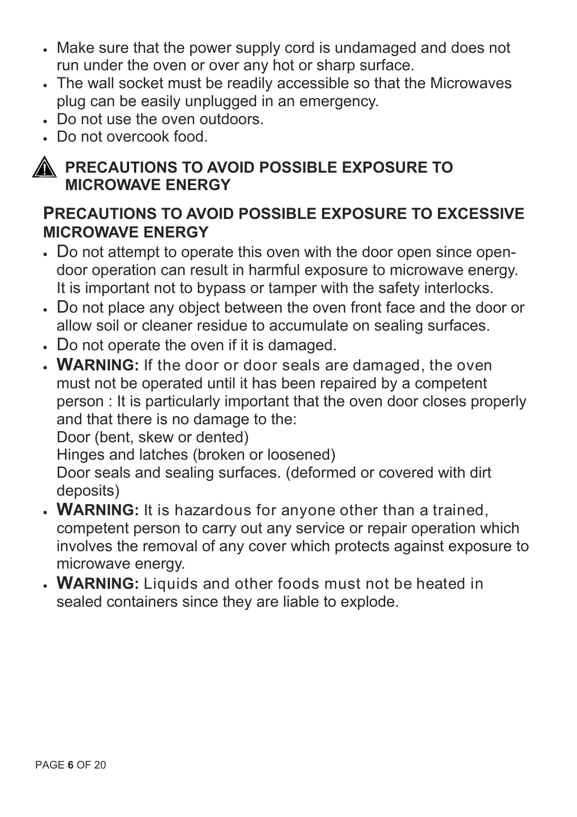- Make sure that the power supply cord is undamaged and does not run under the oven or over any hot or sharp surface.
- The wall socket must be readily accessible so that the Microwaves plug can be easily unplugged in an emergency.
- x Do not use the oven outdoors.
- x Do not overcook food.



## **PRECAUTIONS TO AVOID POSSIBLE EXPOSURE TO MICROWAVE ENERGY**

## **PRECAUTIONS TO AVOID POSSIBLE EXPOSURE TO EXCESSIVE MICROWAVE ENERGY**

- Do not attempt to operate this oven with the door open since opendoor operation can result in harmful exposure to microwave energy. It is important not to bypass or tamper with the safety interlocks.
- Do not place any object between the oven front face and the door or allow soil or cleaner residue to accumulate on sealing surfaces.
- Do not operate the oven if it is damaged.
- x **WARNING:** If the door or door seals are damaged, the oven must not be operated until it has been repaired by a competent person : It is particularly important that the oven door closes properly and that there is no damage to the:

Door (bent, skew or dented)

Hinges and latches (broken or loosened)

Door seals and sealing surfaces. (deformed or covered with dirt deposits)

- x **WARNING:** It is hazardous for anyone other than a trained, competent person to carry out any service or repair operation which involves the removal of any cover which protects against exposure to microwave energy.
- x **WARNING:** Liquids and other foods must not be heated in sealed containers since they are liable to explode.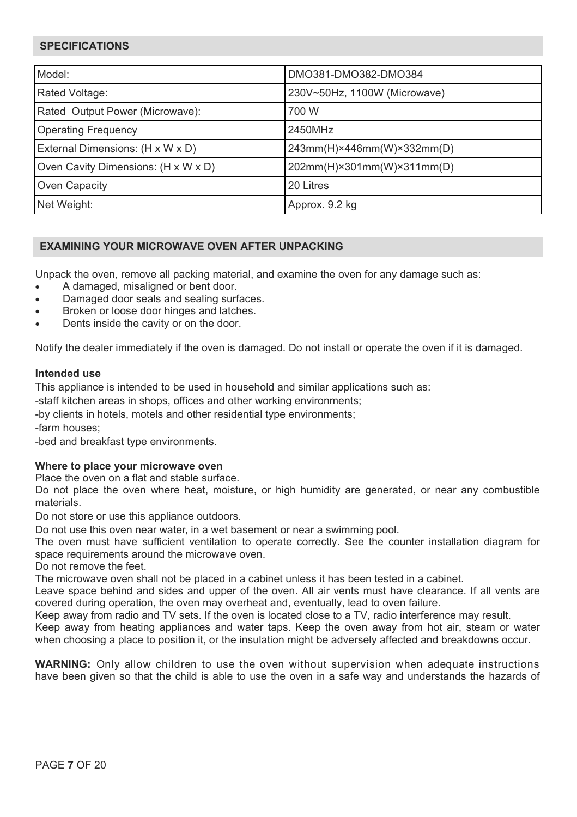## **SPECIFICATIONS**

| Model:                              | DMO381-DMO382-DMO384                     |  |
|-------------------------------------|------------------------------------------|--|
| Rated Voltage:                      | 230V~50Hz, 1100W (Microwave)             |  |
| Rated Output Power (Microwave):     | 700 W                                    |  |
| <b>Operating Frequency</b>          | 2450MHz                                  |  |
| External Dimensions: (H x W x D)    | $243mm(H)\times 446mm(W)\times 332mm(D)$ |  |
| Oven Cavity Dimensions: (H x W x D) | 202mm(H)×301mm(W)×311mm(D)               |  |
| Oven Capacity                       | 20 Litres                                |  |
| Net Weight:                         | Approx. 9.2 kg                           |  |

## **EXAMINING YOUR MICROWAVE OVEN AFTER UNPACKING**

Unpack the oven, remove all packing material, and examine the oven for any damage such as:

- A damaged, misaligned or bent door.
- Damaged door seals and sealing surfaces.
- Broken or loose door hinges and latches.
- Dents inside the cavity or on the door.

Notify the dealer immediately if the oven is damaged. Do not install or operate the oven if it is damaged.

#### **Intended use**

This appliance is intended to be used in household and similar applications such as:

-staff kitchen areas in shops, offices and other working environments;

-by clients in hotels, motels and other residential type environments;

-farm houses;

-bed and breakfast type environments.

## **Where to place your microwave oven**

Place the oven on a flat and stable surface.

Do not place the oven where heat, moisture, or high humidity are generated, or near any combustible materials.

Do not store or use this appliance outdoors.

Do not use this oven near water, in a wet basement or near a swimming pool.

The oven must have sufficient ventilation to operate correctly. See the counter installation diagram for space requirements around the microwave oven.

Do not remove the feet.

The microwave oven shall not be placed in a cabinet unless it has been tested in a cabinet.

Leave space behind and sides and upper of the oven. All air vents must have clearance. If all vents are covered during operation, the oven may overheat and, eventually, lead to oven failure.

Keep away from radio and TV sets. If the oven is located close to a TV, radio interference may result.

Keep away from heating appliances and water taps. Keep the oven away from hot air, steam or water when choosing a place to position it, or the insulation might be adversely affected and breakdowns occur.

**WARNING:** Only allow children to use the oven without supervision when adequate instructions have been given so that the child is able to use the oven in a safe way and understands the hazards of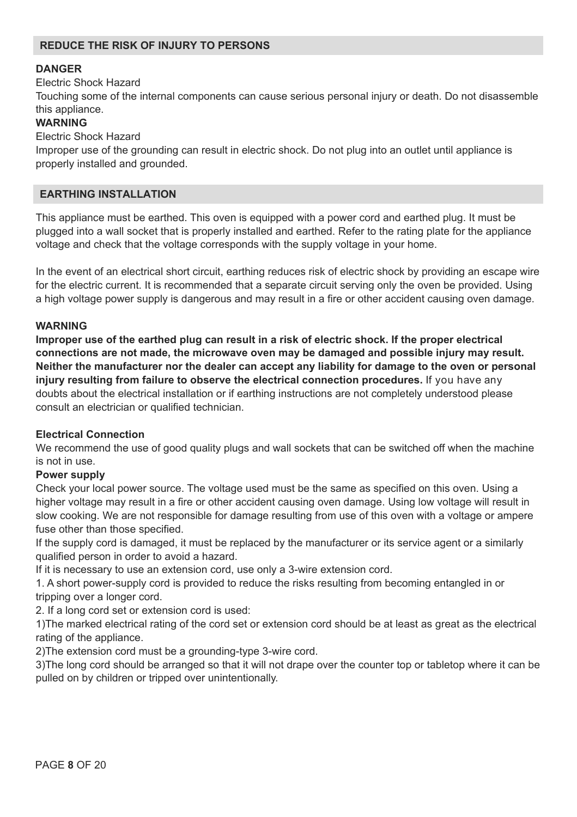## **REDUCE THE RISK OF INJURY TO PERSONS**

## **DANGER**

Electric Shock Hazard

Touching some of the internal components can cause serious personal injury or death. Do not disassemble this appliance.

## **WARNING**

Electric Shock Hazard

Improper use of the grounding can result in electric shock. Do not plug into an outlet until appliance is properly installed and grounded.

## **EARTHING INSTALLATION**

This appliance must be earthed. This oven is equipped with a power cord and earthed plug. It must be plugged into a wall socket that is properly installed and earthed. Refer to the rating plate for the appliance voltage and check that the voltage corresponds with the supply voltage in your home.

In the event of an electrical short circuit, earthing reduces risk of electric shock by providing an escape wire for the electric current. It is recommended that a separate circuit serving only the oven be provided. Using a high voltage power supply is dangerous and may result in a fire or other accident causing oven damage.

## **WARNING**

**Improper use of the earthed plug can result in a risk of electric shock. If the proper electrical connections are not made, the microwave oven may be damaged and possible injury may result. Neither the manufacturer nor the dealer can accept any liability for damage to the oven or personal injury resulting from failure to observe the electrical connection procedures.** If you have any doubts about the electrical installation or if earthing instructions are not completely understood please consult an electrician or qualified technician.

## **Electrical Connection**

We recommend the use of good quality plugs and wall sockets that can be switched off when the machine is not in use.

## **Power supply**

Check your local power source. The voltage used must be the same as specified on this oven. Using a higher voltage may result in a fire or other accident causing oven damage. Using low voltage will result in slow cooking. We are not responsible for damage resulting from use of this oven with a voltage or ampere fuse other than those specified.

If the supply cord is damaged, it must be replaced by the manufacturer or its service agent or a similarly qualified person in order to avoid a hazard.

If it is necessary to use an extension cord, use only a 3-wire extension cord.

1. A short power-supply cord is provided to reduce the risks resulting from becoming entangled in or tripping over a longer cord.

2. If a long cord set or extension cord is used:

1)The marked electrical rating of the cord set or extension cord should be at least as great as the electrical rating of the appliance.

2)The extension cord must be a grounding-type 3-wire cord.

3)The long cord should be arranged so that it will not drape over the counter top or tabletop where it can be pulled on by children or tripped over unintentionally.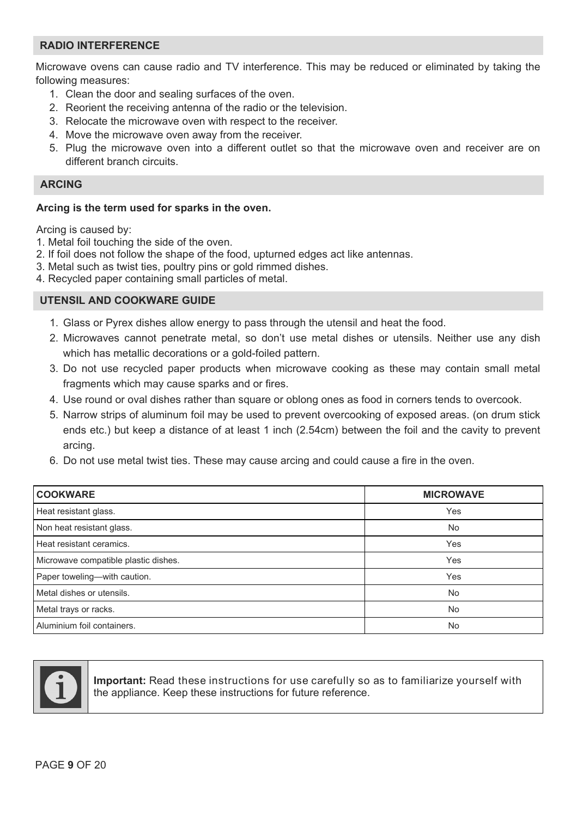## **RADIO INTERFERENCE**

Microwave ovens can cause radio and TV interference. This may be reduced or eliminated by taking the following measures:

- 1. Clean the door and sealing surfaces of the oven.
- 2. Reorient the receiving antenna of the radio or the television.
- 3. Relocate the microwave oven with respect to the receiver.
- 4. Move the microwave oven away from the receiver.
- 5. Plug the microwave oven into a different outlet so that the microwave oven and receiver are on different branch circuits.

## **ARCING**

#### **Arcing is the term used for sparks in the oven.**

Arcing is caused by:

- 1. Metal foil touching the side of the oven.
- 2. If foil does not follow the shape of the food, upturned edges act like antennas.
- 3. Metal such as twist ties, poultry pins or gold rimmed dishes.
- 4. Recycled paper containing small particles of metal.

## **UTENSIL AND COOKWARE GUIDE**

- 1. Glass or Pyrex dishes allow energy to pass through the utensil and heat the food.
- 2. Microwaves cannot penetrate metal, so don't use metal dishes or utensils. Neither use any dish which has metallic decorations or a gold-foiled pattern.
- 3. Do not use recycled paper products when microwave cooking as these may contain small metal fragments which may cause sparks and or fires.
- 4. Use round or oval dishes rather than square or oblong ones as food in corners tends to overcook.
- 5. Narrow strips of aluminum foil may be used to prevent overcooking of exposed areas. (on drum stick ends etc.) but keep a distance of at least 1 inch (2.54cm) between the foil and the cavity to prevent arcing.
- 6. Do not use metal twist ties. These may cause arcing and could cause a fire in the oven.

| <b>COOKWARE</b>                      | <b>MICROWAVE</b> |
|--------------------------------------|------------------|
| Heat resistant glass.                | Yes              |
| Non heat resistant glass.            | <b>No</b>        |
| Heat resistant ceramics.             | Yes              |
| Microwave compatible plastic dishes. | Yes              |
| Paper toweling-with caution.         | Yes              |
| Metal dishes or utensils.            | <b>No</b>        |
| Metal trays or racks.                | <b>No</b>        |
| Aluminium foil containers.           | <b>No</b>        |



**Important:** Read these instructions for use carefully so as to familiarize yourself with the appliance. Keep these instructions for future reference.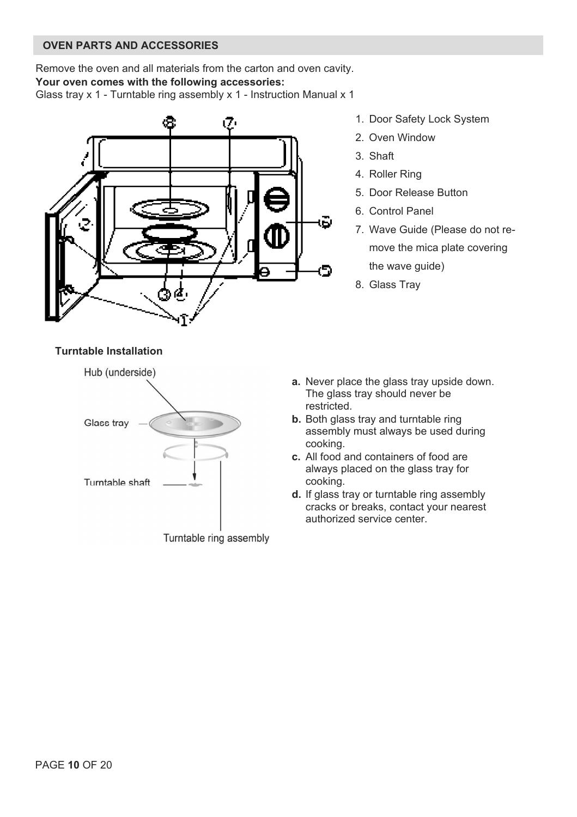## **OVEN PARTS AND ACCESSORIES**

Remove the oven and all materials from the carton and oven cavity. **Your oven comes with the following accessories:**  Glass tray x 1 - Turntable ring assembly x 1 - Instruction Manual x 1



- 1. Door Safety Lock System
- 2. Oven Window
- 3. Shaft
- 4. Roller Ring
- 5. Door Release Button
- 6. Control Panel
- 7. Wave Guide (Please do not remove the mica plate covering the wave guide)
- 8. Glass Tray

#### **Turntable Installation**



- **a.** Never place the glass tray upside down. The glass tray should never be restricted.
- **b.** Both glass tray and turntable ring assembly must always be used during cooking.
- **c.** All food and containers of food are always placed on the glass tray for cooking.
- **d.** If glass tray or turntable ring assembly cracks or breaks, contact your nearest authorized service center.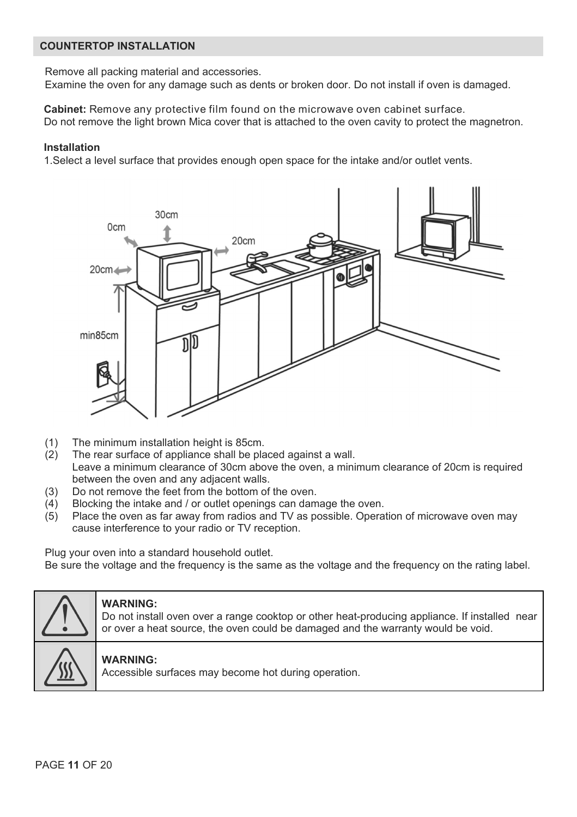## **COUNTERTOP INSTALLATION**

Remove all packing material and accessories.

Examine the oven for any damage such as dents or broken door. Do not install if oven is damaged.

**Cabinet:** Remove any protective film found on the microwave oven cabinet surface. Do not remove the light brown Mica cover that is attached to the oven cavity to protect the magnetron.

## **Installation**

1.Select a level surface that provides enough open space for the intake and/or outlet vents.



- (1) The minimum installation height is 85cm.
- (2) The rear surface of appliance shall be placed against a wall. Leave a minimum clearance of 30cm above the oven, a minimum clearance of 20cm is required between the oven and any adjacent walls.
- (3) Do not remove the feet from the bottom of the oven.
- (4) Blocking the intake and  $\ell$  or outlet openings can damage the oven.<br>(5) Place the oven as far away from radios and TV as possible. Opera
- Place the oven as far away from radios and TV as possible. Operation of microwave oven may cause interference to your radio or TV reception.

Plug your oven into a standard household outlet.

Be sure the voltage and the frequency is the same as the voltage and the frequency on the rating label.



## **WARNING:**

Do not install oven over a range cooktop or other heat-producing appliance. If installed near or over a heat source, the oven could be damaged and the warranty would be void.

## **WARNING:**

Accessible surfaces may become hot during operation.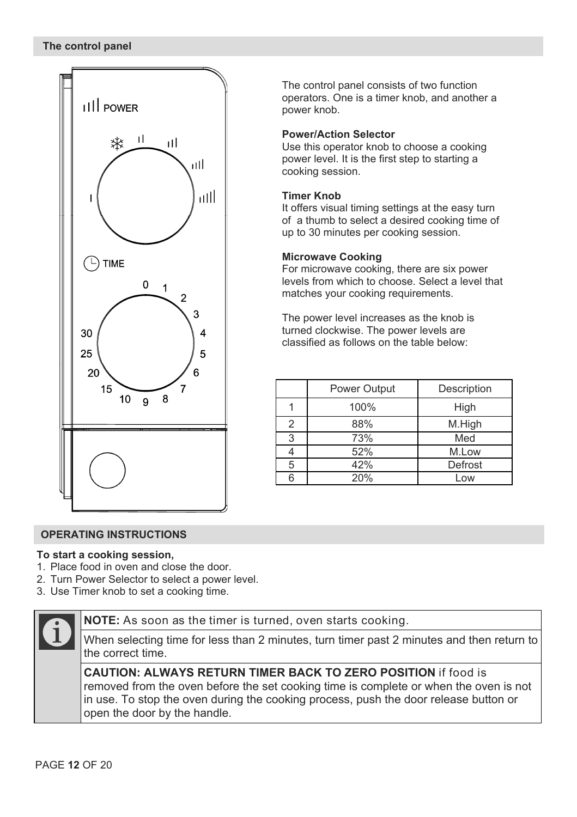

The control panel consists of two function operators. One is a timer knob, and another a power knob.

## **Power/Action Selector**

Use this operator knob to choose a cooking power level. It is the first step to starting a cooking session.

#### **Timer Knob**

It offers visual timing settings at the easy turn of a thumb to select a desired cooking time of up to 30 minutes per cooking session.

## **Microwave Cooking**

For microwave cooking, there are six power levels from which to choose. Select a level that matches your cooking requirements.

The power level increases as the knob is turned clockwise. The power levels are classified as follows on the table below:

|                | <b>Power Output</b> | Description |
|----------------|---------------------|-------------|
|                | 100%                | High        |
| $\mathfrak{p}$ | 88%                 | M.High      |
| 3              | 73%                 | Med         |
|                | 52%                 | M.Low       |
| 5              | 42%                 | Defrost     |
| ี              | 20%                 | Low         |

#### **OPERATING INSTRUCTIONS**

#### **To start a cooking session,**

- 1. Place food in oven and close the door.
- 2. Turn Power Selector to select a power level.
- 3. Use Timer knob to set a cooking time.



**NOTE:** As soon as the timer is turned, oven starts cooking.

When selecting time for less than 2 minutes, turn timer past 2 minutes and then return to the correct time.

**CAUTION: ALWAYS RETURN TIMER BACK TO ZERO POSITION** if food is removed from the oven before the set cooking time is complete or when the oven is not in use. To stop the oven during the cooking process, push the door release button or open the door by the handle.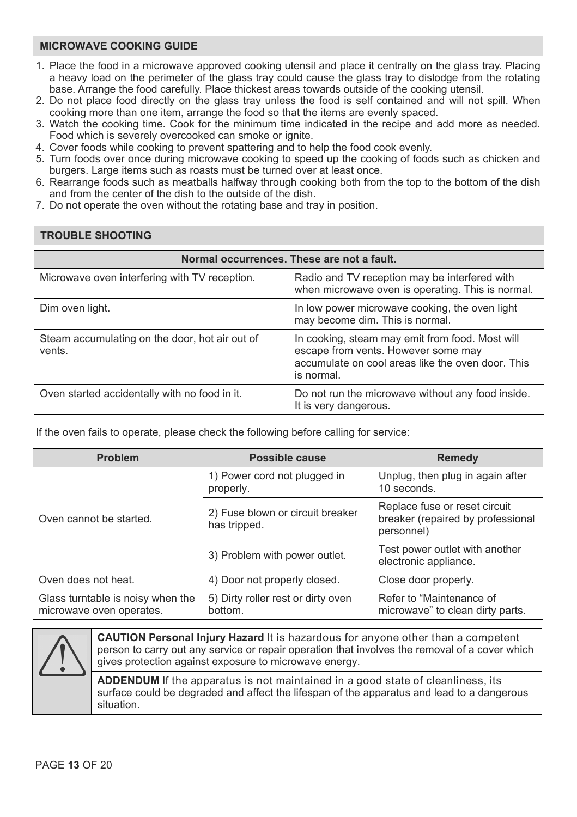## **MICROWAVE COOKING GUIDE**

- 1. Place the food in a microwave approved cooking utensil and place it centrally on the glass tray. Placing a heavy load on the perimeter of the glass tray could cause the glass tray to dislodge from the rotating base. Arrange the food carefully. Place thickest areas towards outside of the cooking utensil.
- 2. Do not place food directly on the glass tray unless the food is self contained and will not spill. When cooking more than one item, arrange the food so that the items are evenly spaced.
- 3. Watch the cooking time. Cook for the minimum time indicated in the recipe and add more as needed. Food which is severely overcooked can smoke or ignite.
- 4. Cover foods while cooking to prevent spattering and to help the food cook evenly.
- 5. Turn foods over once during microwave cooking to speed up the cooking of foods such as chicken and burgers. Large items such as roasts must be turned over at least once.
- 6. Rearrange foods such as meatballs halfway through cooking both from the top to the bottom of the dish and from the center of the dish to the outside of the dish.
- 7. Do not operate the oven without the rotating base and tray in position.

## **TROUBLE SHOOTING**  Microwave oven interfering with TV reception. Radio and TV reception may be interfered with when microwave oven is operating. This is normal. Dim oven light. In low power microwave cooking, the oven light may become dim. This is normal. Steam accumulating on the door, hot air out of vents. In cooking, steam may emit from food. Most will escape from vents. However some may accumulate on cool areas like the oven door. This is normal. Oven started accidentally with no food in it. Do not run the microwave without any food inside. It is very dangerous. **Normal occurrences. These are not a fault.**

If the oven fails to operate, please check the following before calling for service:

| <b>Problem</b>                                                | Possible cause                                   | Remedy                                                                           |
|---------------------------------------------------------------|--------------------------------------------------|----------------------------------------------------------------------------------|
|                                                               | 1) Power cord not plugged in<br>properly.        | Unplug, then plug in again after<br>10 seconds.                                  |
| Oven cannot be started.                                       | 2) Fuse blown or circuit breaker<br>has tripped. | Replace fuse or reset circuit<br>breaker (repaired by professional<br>personnel) |
|                                                               | 3) Problem with power outlet.                    | Test power outlet with another<br>electronic appliance.                          |
| Oven does not heat.                                           | 4) Door not properly closed.                     | Close door properly.                                                             |
| Glass turntable is noisy when the<br>microwave oven operates. | 5) Dirty roller rest or dirty oven<br>bottom.    | Refer to "Maintenance of<br>microwave" to clean dirty parts.                     |



**CAUTION Personal Injury Hazard** It is hazardous for anyone other than a competent person to carry out any service or repair operation that involves the removal of a cover which gives protection against exposure to microwave energy.

**ADDENDUM** If the apparatus is not maintained in a good state of cleanliness, its surface could be degraded and affect the lifespan of the apparatus and lead to a dangerous situation.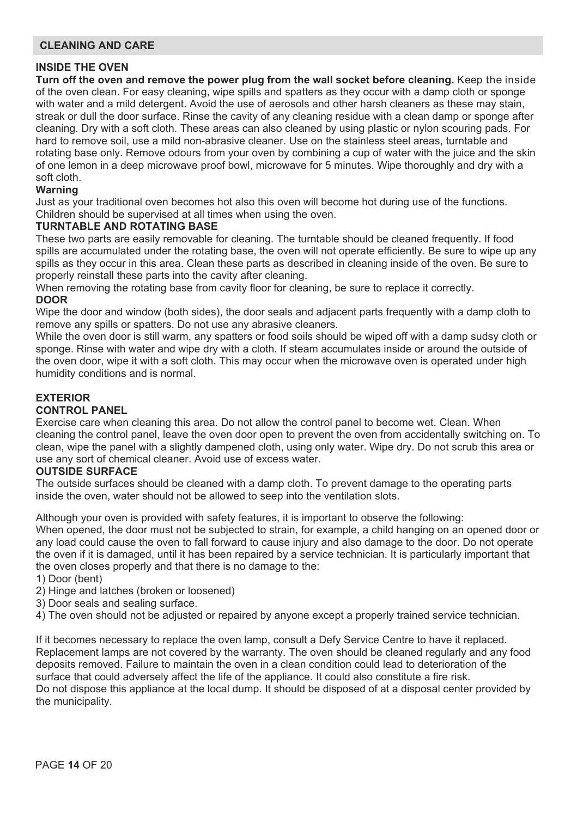## **CLEANING AND CARE**

## **INSIDE THE OVEN**

**Turn off the oven and remove the power plug from the wall socket before cleaning.** Keep the inside of the oven clean. For easy cleaning, wipe spills and spatters as they occur with a damp cloth or sponge with water and a mild detergent. Avoid the use of aerosols and other harsh cleaners as these may stain, streak or dull the door surface. Rinse the cavity of any cleaning residue with a clean damp or sponge after cleaning. Dry with a soft cloth. These areas can also cleaned by using plastic or nylon scouring pads. For hard to remove soil, use a mild non-abrasive cleaner. Use on the stainless steel areas, turntable and rotating base only. Remove odours from your oven by combining a cup of water with the juice and the skin of one lemon in a deep microwave proof bowl, microwave for 5 minutes. Wipe thoroughly and dry with a soft cloth.

## **Warning**

Just as your traditional oven becomes hot also this oven will become hot during use of the functions. Children should be supervised at all times when using the oven.

#### **TURNTABLE AND ROTATING BASE**

These two parts are easily removable for cleaning. The turntable should be cleaned frequently. If food spills are accumulated under the rotating base, the oven will not operate efficiently. Be sure to wipe up any spills as they occur in this area. Clean these parts as described in cleaning inside of the oven. Be sure to properly reinstall these parts into the cavity after cleaning.

When removing the rotating base from cavity floor for cleaning, be sure to replace it correctly. **DOOR** 

Wipe the door and window (both sides), the door seals and adjacent parts frequently with a damp cloth to remove any spills or spatters. Do not use any abrasive cleaners.

While the oven door is still warm, any spatters or food soils should be wiped off with a damp sudsy cloth or sponge. Rinse with water and wipe dry with a cloth. If steam accumulates inside or around the outside of the oven door, wipe it with a soft cloth. This may occur when the microwave oven is operated under high humidity conditions and is normal.

## **EXTERIOR**

## **CONTROL PANEL**

Exercise care when cleaning this area. Do not allow the control panel to become wet. Clean. When cleaning the control panel, leave the oven door open to prevent the oven from accidentally switching on. To clean, wipe the panel with a slightly dampened cloth, using only water. Wipe dry. Do not scrub this area or use any sort of chemical cleaner. Avoid use of excess water.

#### **OUTSIDE SURFACE**

The outside surfaces should be cleaned with a damp cloth. To prevent damage to the operating parts inside the oven, water should not be allowed to seep into the ventilation slots.

Although your oven is provided with safety features, it is important to observe the following: When opened, the door must not be subjected to strain, for example, a child hanging on an opened door or any load could cause the oven to fall forward to cause injury and also damage to the door. Do not operate the oven if it is damaged, until it has been repaired by a service technician. It is particularly important that the oven closes properly and that there is no damage to the:

1) Door (bent)

- 2) Hinge and latches (broken or loosened)
- 3) Door seals and sealing surface.
- 4) The oven should not be adjusted or repaired by anyone except a properly trained service technician.

If it becomes necessary to replace the oven lamp, consult a Defy Service Centre to have it replaced. Replacement lamps are not covered by the warranty. The oven should be cleaned regularly and any food deposits removed. Failure to maintain the oven in a clean condition could lead to deterioration of the surface that could adversely affect the life of the appliance. It could also constitute a fire risk. Do not dispose this appliance at the local dump. It should be disposed of at a disposal center provided by the municipality.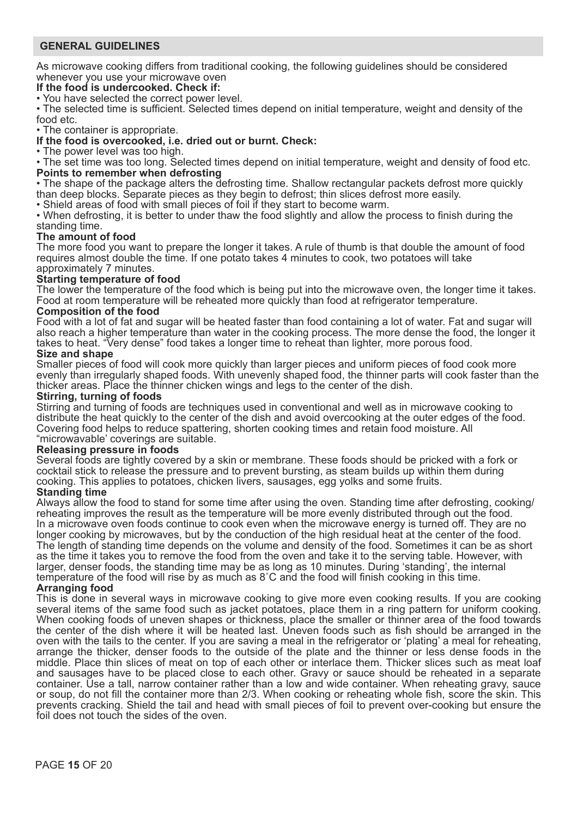## **GENERAL GUIDELINES**

As microwave cooking differs from traditional cooking, the following guidelines should be considered whenever you use your microwave oven

#### **If the food is undercooked. Check if:**

• You have selected the correct power level.

• The selected time is sufficient. Selected times depend on initial temperature, weight and density of the food etc.

• The container is appropriate.

## **If the food is overcooked, i.e. dried out or burnt. Check:**

• The power level was too high.

• The set time was too long. Selected times depend on initial temperature, weight and density of food etc. **Points to remember when defrosting** 

• The shape of the package alters the defrosting time. Shallow rectangular packets defrost more quickly than deep blocks. Separate pieces as they begin to defrost; thin slices defrost more easily.

• Shield areas of food with small pieces of foil if they start to become warm.

• When defrosting, it is better to under thaw the food slightly and allow the process to finish during the standing time.

#### **The amount of food**

The more food you want to prepare the longer it takes. A rule of thumb is that double the amount of food requires almost double the time. If one potato takes 4 minutes to cook, two potatoes will take approximately 7 minutes.

#### **Starting temperature of food**

The lower the temperature of the food which is being put into the microwave oven, the longer time it takes. Food at room temperature will be reheated more quickly than food at refrigerator temperature.

## **Composition of the food**

Food with a lot of fat and sugar will be heated faster than food containing a lot of water. Fat and sugar will also reach a higher temperature than water in the cooking process. The more dense the food, the longer it takes to heat. "Very dense" food takes a longer time to reheat than lighter, more porous food.

## **Size and shape**

Smaller pieces of food will cook more quickly than larger pieces and uniform pieces of food cook more evenly than irregularly shaped foods. With unevenly shaped food, the thinner parts will cook faster than the thicker areas. Place the thinner chicken wings and legs to the center of the dish.

#### **Stirring, turning of foods**

Stirring and turning of foods are techniques used in conventional and well as in microwave cooking to distribute the heat quickly to the center of the dish and avoid overcooking at the outer edges of the food. Covering food helps to reduce spattering, shorten cooking times and retain food moisture. All "microwavable' coverings are suitable.

#### **Releasing pressure in foods**

Several foods are tightly covered by a skin or membrane. These foods should be pricked with a fork or cocktail stick to release the pressure and to prevent bursting, as steam builds up within them during cooking. This applies to potatoes, chicken livers, sausages, egg yolks and some fruits.

#### **Standing time**

Always allow the food to stand for some time after using the oven. Standing time after defrosting, cooking/ reheating improves the result as the temperature will be more evenly distributed through out the food. In a microwave oven foods continue to cook even when the microwave energy is turned off. They are no longer cooking by microwaves, but by the conduction of the high residual heat at the center of the food. The length of standing time depends on the volume and density of the food. Sometimes it can be as short as the time it takes you to remove the food from the oven and take it to the serving table. However, with larger, denser foods, the standing time may be as long as 10 minutes. During 'standing', the internal temperature of the food will rise by as much as 8˚C and the food will finish cooking in this time.

#### **Arranging food**

This is done in several ways in microwave cooking to give more even cooking results. If you are cooking several items of the same food such as jacket potatoes, place them in a ring pattern for uniform cooking. When cooking foods of uneven shapes or thickness, place the smaller or thinner area of the food towards the center of the dish where it will be heated last. Uneven foods such as fish should be arranged in the oven with the tails to the center. If you are saving a meal in the refrigerator or 'plating' a meal for reheating, arrange the thicker, denser foods to the outside of the plate and the thinner or less dense foods in the middle. Place thin slices of meat on top of each other or interlace them. Thicker slices such as meat loaf and sausages have to be placed close to each other. Gravy or sauce should be reheated in a separate container. Use a tall, narrow container rather than a low and wide container. When reheating gravy, sauce or soup, do not fill the container more than 2/3. When cooking or reheating whole fish, score the skin. This prevents cracking. Shield the tail and head with small pieces of foil to prevent over-cooking but ensure the foil does not touch the sides of the oven.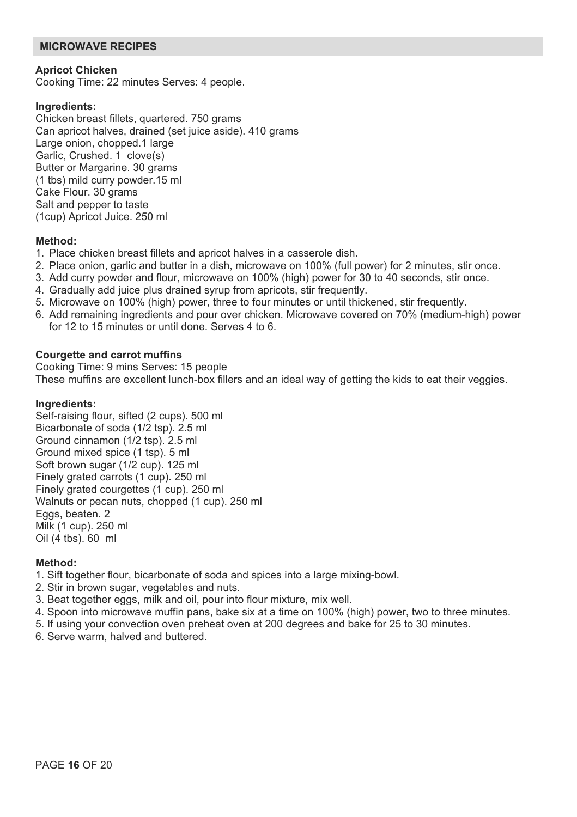## **MICROWAVE RECIPES**

#### **Apricot Chicken**

Cooking Time: 22 minutes Serves: 4 people.

#### **Ingredients:**

Chicken breast fillets, quartered. 750 grams Can apricot halves, drained (set juice aside). 410 grams Large onion, chopped.1 large Garlic, Crushed. 1 clove(s) Butter or Margarine. 30 grams (1 tbs) mild curry powder.15 ml Cake Flour. 30 grams Salt and pepper to taste (1cup) Apricot Juice. 250 ml

#### **Method:**

- 1. Place chicken breast fillets and apricot halves in a casserole dish.
- 2. Place onion, garlic and butter in a dish, microwave on 100% (full power) for 2 minutes, stir once.
- 3. Add curry powder and flour, microwave on 100% (high) power for 30 to 40 seconds, stir once.
- 4. Gradually add juice plus drained syrup from apricots, stir frequently.
- 5. Microwave on 100% (high) power, three to four minutes or until thickened, stir frequently.
- 6. Add remaining ingredients and pour over chicken. Microwave covered on 70% (medium-high) power for 12 to 15 minutes or until done. Serves 4 to 6.

#### **Courgette and carrot muffins**

Cooking Time: 9 mins Serves: 15 people These muffins are excellent lunch-box fillers and an ideal way of getting the kids to eat their veggies.

## **Ingredients:**

Self-raising flour, sifted (2 cups). 500 ml Bicarbonate of soda (1/2 tsp). 2.5 ml Ground cinnamon (1/2 tsp). 2.5 ml Ground mixed spice (1 tsp). 5 ml Soft brown sugar (1/2 cup). 125 ml Finely grated carrots (1 cup). 250 ml Finely grated courgettes (1 cup). 250 ml Walnuts or pecan nuts, chopped (1 cup). 250 ml Eggs, beaten. 2 Milk (1 cup). 250 ml Oil (4 tbs). 60 ml

#### **Method:**

- 1. Sift together flour, bicarbonate of soda and spices into a large mixing-bowl.
- 2. Stir in brown sugar, vegetables and nuts.
- 3. Beat together eggs, milk and oil, pour into flour mixture, mix well.
- 4. Spoon into microwave muffin pans, bake six at a time on 100% (high) power, two to three minutes.
- 5. If using your convection oven preheat oven at 200 degrees and bake for 25 to 30 minutes.
- 6. Serve warm, halved and buttered.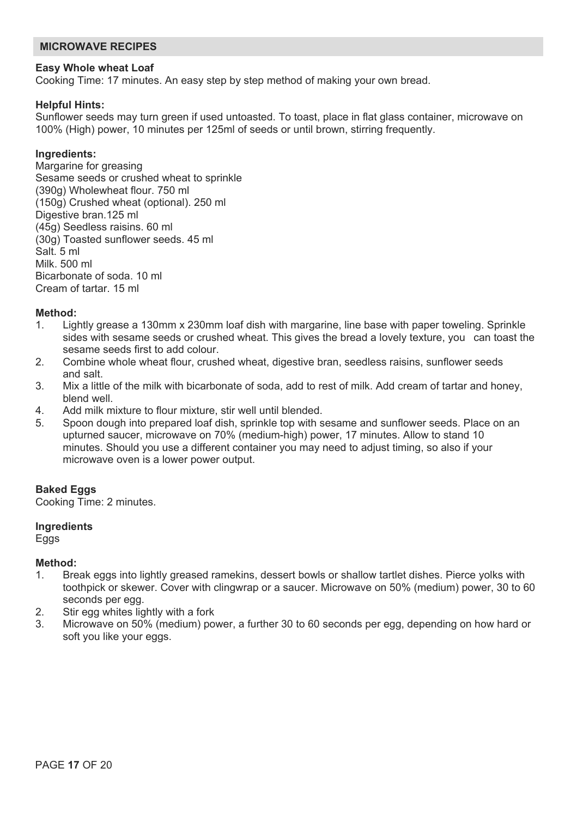### **MICROWAVE RECIPES**

#### **Easy Whole wheat Loaf**

Cooking Time: 17 minutes. An easy step by step method of making your own bread.

#### **Helpful Hints:**

Sunflower seeds may turn green if used untoasted. To toast, place in flat glass container, microwave on 100% (High) power, 10 minutes per 125ml of seeds or until brown, stirring frequently.

## **Ingredients:**

Margarine for greasing Sesame seeds or crushed wheat to sprinkle (390g) Wholewheat flour. 750 ml (150g) Crushed wheat (optional). 250 ml Digestive bran.125 ml (45g) Seedless raisins. 60 ml (30g) Toasted sunflower seeds. 45 ml Salt. 5 ml Milk. 500 ml Bicarbonate of soda. 10 ml Cream of tartar. 15 ml

# **Method:**<br>1 lig

- Lightly grease a 130mm x 230mm loaf dish with margarine, line base with paper toweling. Sprinkle sides with sesame seeds or crushed wheat. This gives the bread a lovely texture, you can toast the sesame seeds first to add colour.
- 2. Combine whole wheat flour, crushed wheat, digestive bran, seedless raisins, sunflower seeds and salt.
- 3. Mix a little of the milk with bicarbonate of soda, add to rest of milk. Add cream of tartar and honey, blend well.
- 4. Add milk mixture to flour mixture, stir well until blended.<br>5. Spoon dough into prepared loaf dish sprinkle top with s
- Spoon dough into prepared loaf dish, sprinkle top with sesame and sunflower seeds. Place on an upturned saucer, microwave on 70% (medium-high) power, 17 minutes. Allow to stand 10 minutes. Should you use a different container you may need to adjust timing, so also if your microwave oven is a lower power output.

#### **Baked Eggs**

Cooking Time: 2 minutes.

#### **Ingredients**

Eggs

#### **Method:**

- 1. Break eggs into lightly greased ramekins, dessert bowls or shallow tartlet dishes. Pierce yolks with toothpick or skewer. Cover with clingwrap or a saucer. Microwave on 50% (medium) power, 30 to 60 seconds per egg.
- 2. Stir egg whites lightly with a fork
- 3. Microwave on 50% (medium) power, a further 30 to 60 seconds per egg, depending on how hard or soft you like your eggs.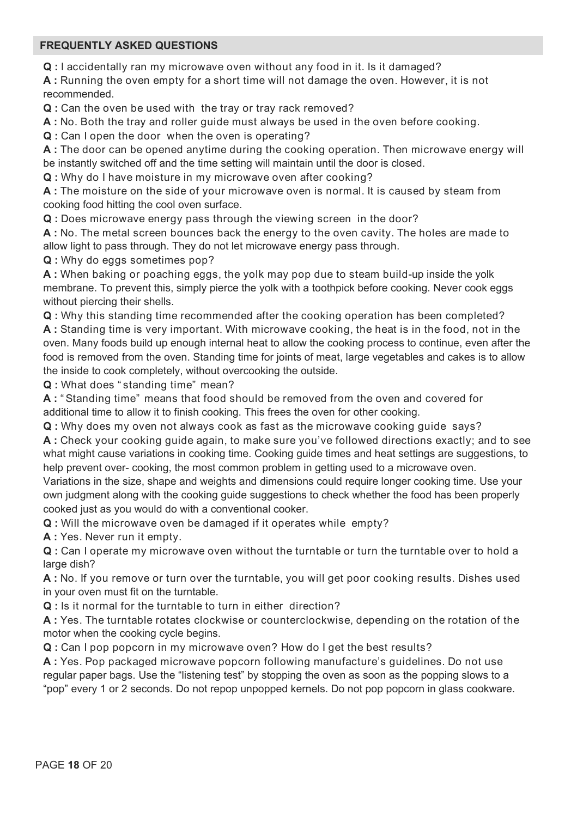## **FREQUENTLY ASKED QUESTIONS**

**Q :** I accidentally ran my microwave oven without any food in it. Is it damaged?

**A :** Running the oven empty for a short time will not damage the oven. However, it is not recommended.

**Q :** Can the oven be used with the tray or tray rack removed?

**A :** No. Both the tray and roller guide must always be used in the oven before cooking.

**Q :** Can I open the door when the oven is operating?

**A :** The door can be opened anytime during the cooking operation. Then microwave energy will be instantly switched off and the time setting will maintain until the door is closed.

**Q :** Why do I have moisture in my microwave oven after cooking?

**A :** The moisture on the side of your microwave oven is normal. It is caused by steam from cooking food hitting the cool oven surface.

**Q :** Does microwave energy pass through the viewing screen in the door?

**A :** No. The metal screen bounces back the energy to the oven cavity. The holes are made to allow light to pass through. They do not let microwave energy pass through.

**Q :** Why do eggs sometimes pop?

**A :** When baking or poaching eggs, the yolk may pop due to steam build-up inside the yolk membrane. To prevent this, simply pierce the yolk with a toothpick before cooking. Never cook eggs without piercing their shells.

**Q :** Why this standing time recommended after the cooking operation has been completed?

**A :** Standing time is very important. With microwave cooking, the heat is in the food, not in the oven. Many foods build up enough internal heat to allow the cooking process to continue, even after the food is removed from the oven. Standing time for joints of meat, large vegetables and cakes is to allow the inside to cook completely, without overcooking the outside.

**Q :** What does " standing time" mean?

**A :** " Standing time" means that food should be removed from the oven and covered for additional time to allow it to finish cooking. This frees the oven for other cooking.

**Q :** Why does my oven not always cook as fast as the microwave cooking guide says?

**A :** Check your cooking guide again, to make sure you've followed directions exactly; and to see what might cause variations in cooking time. Cooking guide times and heat settings are suggestions, to help prevent over- cooking, the most common problem in getting used to a microwave oven.

Variations in the size, shape and weights and dimensions could require longer cooking time. Use your own judgment along with the cooking guide suggestions to check whether the food has been properly cooked just as you would do with a conventional cooker.

**Q :** Will the microwave oven be damaged if it operates while empty?

**A :** Yes. Never run it empty.

**Q :** Can I operate my microwave oven without the turntable or turn the turntable over to hold a large dish?

**A :** No. If you remove or turn over the turntable, you will get poor cooking results. Dishes used in your oven must fit on the turntable.

**Q :** Is it normal for the turntable to turn in either direction?

**A :** Yes. The turntable rotates clockwise or counterclockwise, depending on the rotation of the motor when the cooking cycle begins.

**Q :** Can I pop popcorn in my microwave oven? How do I get the best results?

**A :** Yes. Pop packaged microwave popcorn following manufacture's guidelines. Do not use regular paper bags. Use the "listening test" by stopping the oven as soon as the popping slows to a "pop" every 1 or 2 seconds. Do not repop unpopped kernels. Do not pop popcorn in glass cookware.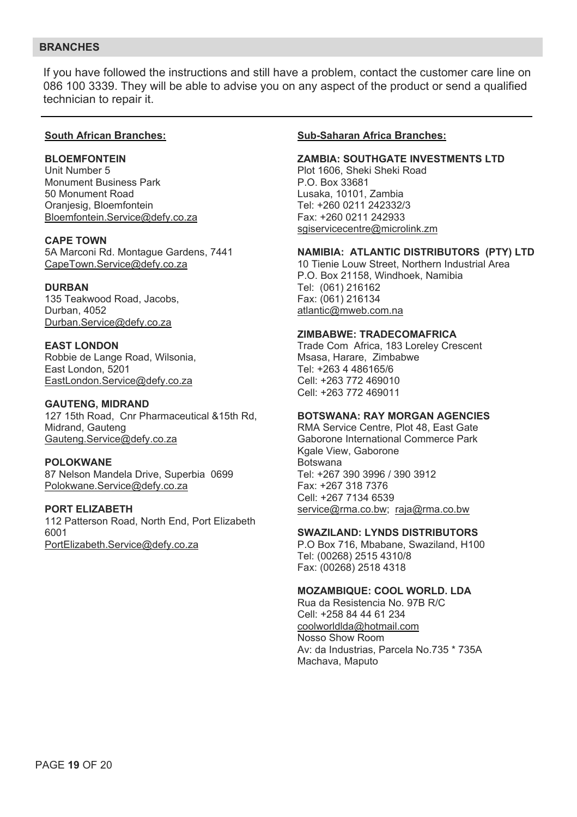## **BRANCHES**

If you have followed the instructions and still have a problem, contact the customer care line on 086 100 3339. They will be able to advise you on any aspect of the product or send a qualified technician to repair it.

#### **South African Branches:**

#### **BLOEMFONTEIN**

Unit Number 5 Monument Business Park 50 Monument Road Oranjesig, Bloemfontein Bloemfontein.Service@defy.co.za

## **CAPE TOWN**

5A Marconi Rd. Montague Gardens, 7441 CapeTown.Service@defy.co.za

#### **DURBAN**

135 Teakwood Road, Jacobs, Durban, 4052 Durban.Service@defy.co.za

**EAST LONDON**  Robbie de Lange Road, Wilsonia, East London, 5201 EastLondon.Service@defy.co.za

#### **GAUTENG, MIDRAND**  127 15th Road, Cnr Pharmaceutical &15th Rd,

Midrand, Gauteng Gauteng.Service@defy.co.za

#### **POLOKWANE**

87 Nelson Mandela Drive, Superbia 0699 Polokwane.Service@defy.co.za

#### **PORT ELIZABETH**

112 Patterson Road, North End, Port Elizabeth 6001 PortElizabeth.Service@defy.co.za

#### **Sub-Saharan Africa Branches:**

#### **ZAMBIA: SOUTHGATE INVESTMENTS LTD**

Plot 1606, Sheki Sheki Road P.O. Box 33681 Lusaka, 10101, Zambia Tel: +260 0211 242332/3 Fax: +260 0211 242933 sgiservicecentre@microlink.zm

#### **NAMIBIA: ATLANTIC DISTRIBUTORS (PTY) LTD**

10 Tienie Louw Street, Northern Industrial Area P.O. Box 21158, Windhoek, Namibia Tel: (061) 216162 Fax: (061) 216134 atlantic@mweb.com.na

#### **ZIMBABWE: TRADECOMAFRICA**

Trade Com Africa, 183 Loreley Crescent Msasa, Harare, Zimbabwe Tel: +263 4 486165/6 Cell: +263 772 469010 Cell: +263 772 469011

#### **BOTSWANA: RAY MORGAN AGENCIES**

RMA Service Centre, Plot 48, East Gate Gaborone International Commerce Park Kgale View, Gaborone Botswana Tel: +267 390 3996 / 390 3912 Fax: +267 318 7376 Cell: +267 7134 6539 service@rma.co.bw; raja@rma.co.bw

#### **SWAZILAND: LYNDS DISTRIBUTORS**

P.O Box 716, Mbabane, Swaziland, H100 Tel: (00268) 2515 4310/8 Fax: (00268) 2518 4318

#### **MOZAMBIQUE: COOL WORLD. LDA**

Rua da Resistencia No. 97B R/C Cell: +258 84 44 61 234 coolworldlda@hotmail.com Nosso Show Room Av: da Industrias, Parcela No.735 \* 735A Machava, Maputo